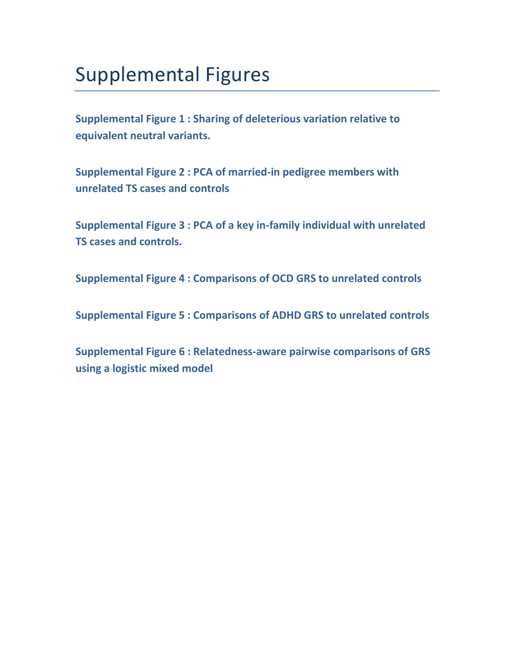## Supplemental Figures

**Supplemental Figure 1 : Sharing of deleterious variation relative to equivalent neutral variants.**

**Supplemental Figure 2 : PCA of married-in pedigree members with unrelated TS cases and controls**

**Supplemental Figure 3 : PCA of a key in-family individual with unrelated TS cases and controls.**

**Supplemental Figure 4 : Comparisons of OCD GRS to unrelated controls**

**Supplemental Figure 5 : Comparisons of ADHD GRS to unrelated controls**

**Supplemental Figure 6 : Relatedness-aware pairwise comparisons of GRS using a logistic mixed model**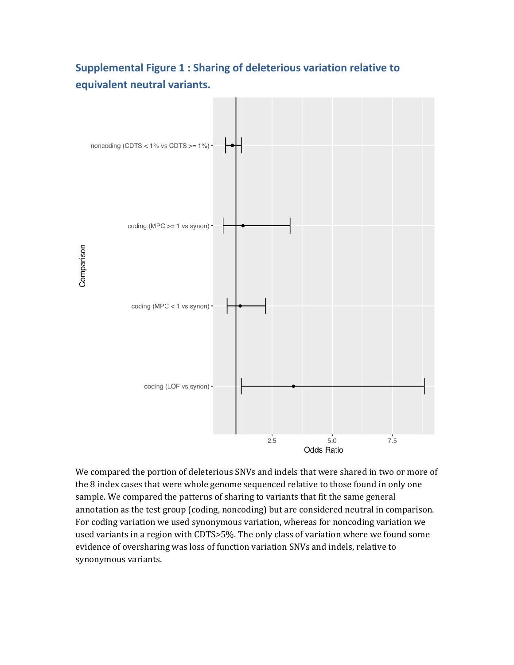## **Supplemental Figure 1 : Sharing of deleterious variation relative to equivalent neutral variants.**



We compared the portion of deleterious SNVs and indels that were shared in two or more of the 8 index cases that were whole genome sequenced relative to those found in only one sample. We compared the patterns of sharing to variants that fit the same general annotation as the test group (coding, noncoding) but are considered neutral in comparison. For coding variation we used synonymous variation, whereas for noncoding variation we used variants in a region with CDTS>5%. The only class of variation where we found some evidence of oversharing was loss of function variation SNVs and indels, relative to synonymous variants.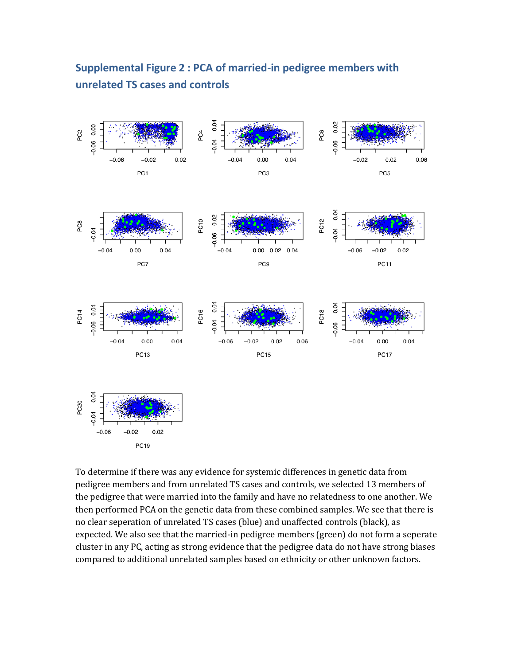## **Supplemental Figure 2 : PCA of married-in pedigree members with unrelated TS cases and controls**



To determine if there was any evidence for systemic differences in genetic data from pedigree members and from unrelated TS cases and controls, we selected 13 members of the pedigree that were married into the family and have no relatedness to one another. We then performed PCA on the genetic data from these combined samples. We see that there is no clear seperation of unrelated TS cases (blue) and unaffected controls (black), as expected. We also see that the married-in pedigree members (green) do not form a seperate cluster in any PC, acting as strong evidence that the pedigree data do not have strong biases compared to additional unrelated samples based on ethnicity or other unknown factors.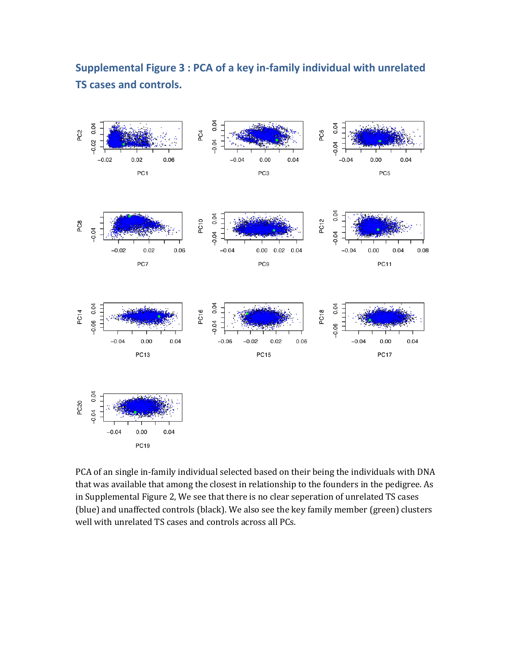## **Supplemental Figure 3 : PCA of a key in-family individual with unrelated TS cases and controls.**



PCA of an single in-family individual selected based on their being the individuals with DNA that was available that among the closest in relationship to the founders in the pedigree. As in Supplemental Figure 2, We see that there is no clear seperation of unrelated TS cases (blue) and unaffected controls (black). We also see the key family member (green) clusters well with unrelated TS cases and controls across all PCs.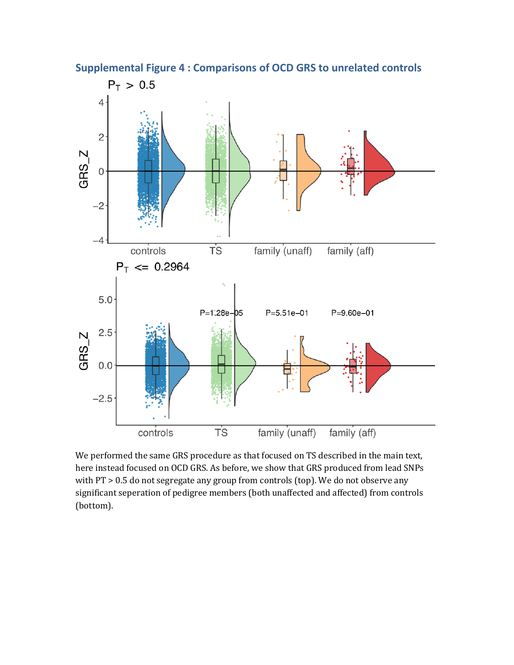

**Supplemental Figure 4 : Comparisons of OCD GRS to unrelated controls**

We performed the same GRS procedure as that focused on TS described in the main text, here instead focused on OCD GRS. As before, we show that GRS produced from lead SNPs with PT > 0.5 do not segregate any group from controls (top). We do not observe any significant seperation of pedigree members (both unaffected and affected) from controls (bottom).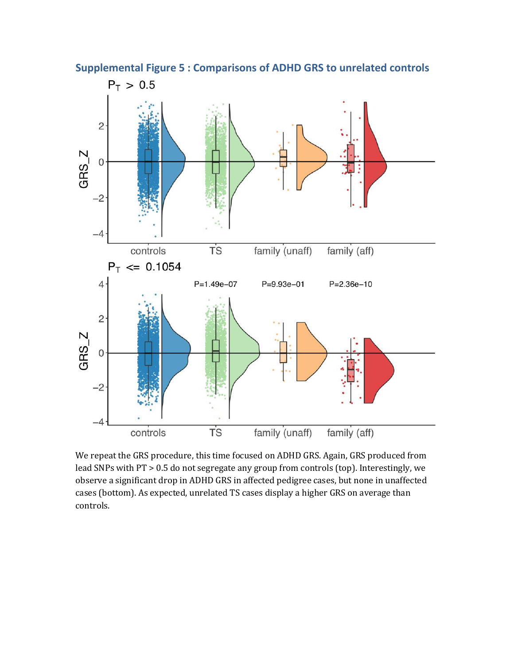

**Supplemental Figure 5 : Comparisons of ADHD GRS to unrelated controls**

We repeat the GRS procedure, this time focused on ADHD GRS. Again, GRS produced from lead SNPs with PT > 0.5 do not segregate any group from controls (top). Interestingly, we observe a significant drop in ADHD GRS in affected pedigree cases, but none in unaffected cases (bottom). As expected, unrelated TS cases display a higher GRS on average than controls.